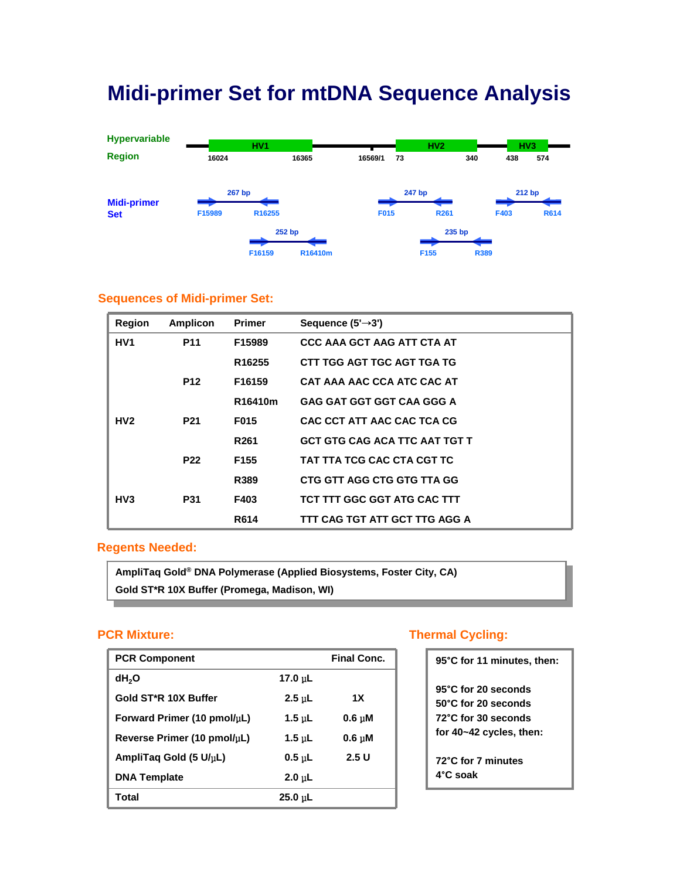## **Midi-primer Set for mtDNA Sequence Analysis**



### **Sequences of Midi-primer Set:**

| <b>Region</b>    | <b>Amplicon</b> | <b>Primer</b>      | Sequence $(5' \rightarrow 3')$       |
|------------------|-----------------|--------------------|--------------------------------------|
| HV <sub>1</sub>  | <b>P11</b>      | F15989             | <b>CCC AAA GCT AAG ATT CTA AT</b>    |
|                  |                 | R <sub>16255</sub> | CTT TGG AGT TGC AGT TGA TG           |
|                  | <b>P12</b>      | F16159             | CAT AAA AAC CCA ATC CAC AT           |
|                  |                 | R16410m            | <b>GAG GAT GGT GGT CAA GGG A</b>     |
| HV2              | <b>P21</b>      | F015               | CAC CCT ATT AAC CAC TCA CG           |
|                  |                 | R <sub>261</sub>   | <b>GCT GTG CAG ACA TTC AAT TGT T</b> |
|                  | <b>P22</b>      | F <sub>155</sub>   | TAT TTA TCG CAC CTA CGT TC           |
|                  |                 | R389               | CTG GTT AGG CTG GTG TTA GG           |
| H <sub>V</sub> 3 | <b>P31</b>      | F403               | TCT TTT GGC GGT ATG CAC TTT          |
|                  |                 | R614               | TTT CAG TGT ATT GCT TTG AGG A        |

### **Regents Needed:**

**AmpliTaq Gold® DNA Polymerase (Applied Biosystems, Foster City, CA) Gold ST\*R 10X Buffer (Promega, Madison, WI)**

### **PCR Mixture:**

| <b>PCR Component</b>              |              | <b>Final Conc.</b> |
|-----------------------------------|--------------|--------------------|
| dH <sub>2</sub> O                 | 17.0 $\mu$ L |                    |
| Gold ST*R 10X Buffer              | $2.5$ uL     | 1X                 |
| Forward Primer (10 pmol/ $\mu$ L) | 1.5 $\mu$ L  | $0.6 \text{ uM}$   |
| Reverse Primer (10 pmol/ $\mu$ L) | 1.5 $\mu$ L  | $0.6 \text{ uM}$   |
| AmpliTag Gold (5 U/µL)            | $0.5$ uL     | 2.5U               |
| <b>DNA Template</b>               | $2.0$ uL     |                    |
| Total                             | $25.0$ uL    |                    |

### **Thermal Cycling:**

| 95°C for 11 minutes, then:                                                                                 |
|------------------------------------------------------------------------------------------------------------|
| 95°C for 20 seconds<br>$50^{\circ}$ C for 20 seconds<br>72°C for 30 seconds<br>for $40 - 42$ cycles, then: |
| 72°C for 7 minutes<br>4°C soak                                                                             |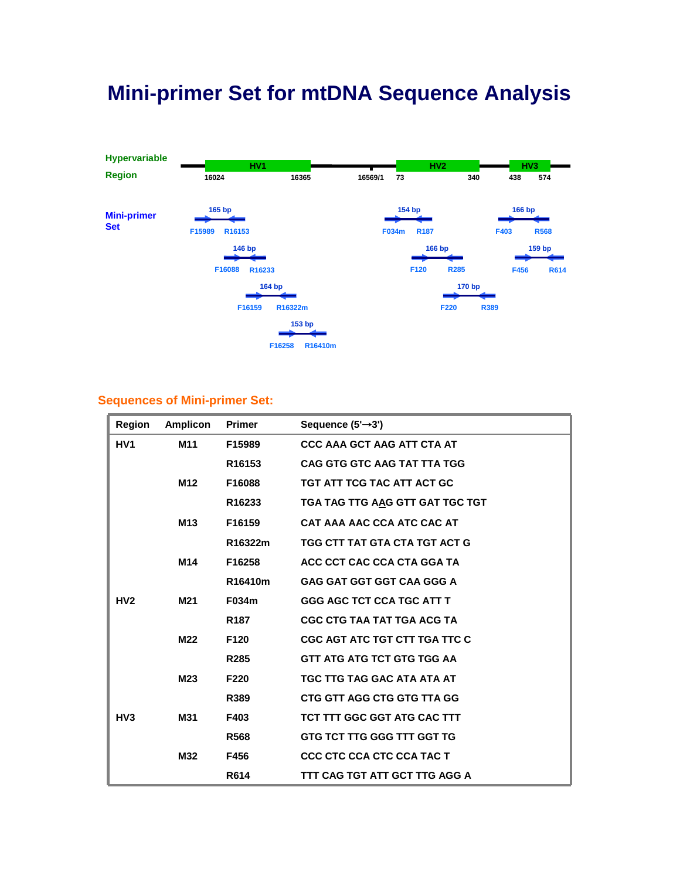# **Mini-primer Set for mtDNA Sequence Analysis**



### **Sequences of Mini-primer Set:**

| Region          | <b>Amplicon</b> | <b>Primer</b>      | Sequence $(5' \rightarrow 3')$    |
|-----------------|-----------------|--------------------|-----------------------------------|
| HV1             | M <sub>11</sub> | F15989             | <b>CCC AAA GCT AAG ATT CTA AT</b> |
|                 |                 | R <sub>16153</sub> | CAG GTG GTC AAG TAT TTA TGG       |
|                 | M12             | F16088             | TGT ATT TCG TAC ATT ACT GC        |
|                 |                 | R16233             | TGA TAG TTG AAG GTT GAT TGC TGT   |
|                 | M <sub>13</sub> | F16159             | CAT AAA AAC CCA ATC CAC AT        |
|                 |                 | R16322m            | TGG CTT TAT GTA CTA TGT ACT G     |
|                 | M14             | F16258             | ACC CCT CAC CCA CTA GGA TA        |
|                 |                 | R16410m            | <b>GAG GAT GGT GGT CAA GGG A</b>  |
| HV2             | M21             | F034m              | <b>GGG AGC TCT CCA TGC ATT T</b>  |
|                 |                 | R <sub>187</sub>   | CGC CTG TAA TAT TGA ACG TA        |
|                 | M22             | F <sub>120</sub>   | CGC AGT ATC TGT CTT TGA TTC C     |
|                 |                 | R <sub>285</sub>   | GTT ATG ATG TCT GTG TGG AA        |
|                 | M23             | F <sub>220</sub>   | TGC TTG TAG GAC ATA ATA AT        |
|                 |                 | R389               | CTG GTT AGG CTG GTG TTA GG        |
| H <sub>V3</sub> | M31             | F403               | TCT TTT GGC GGT ATG CAC TTT       |
|                 |                 | R568               | GTG TCT TTG GGG TTT GGT TG        |
|                 | M32             | F456               | <b>CCC CTC CCA CTC CCA TAC T</b>  |
|                 |                 | R614               | TTT CAG TGT ATT GCT TTG AGG A     |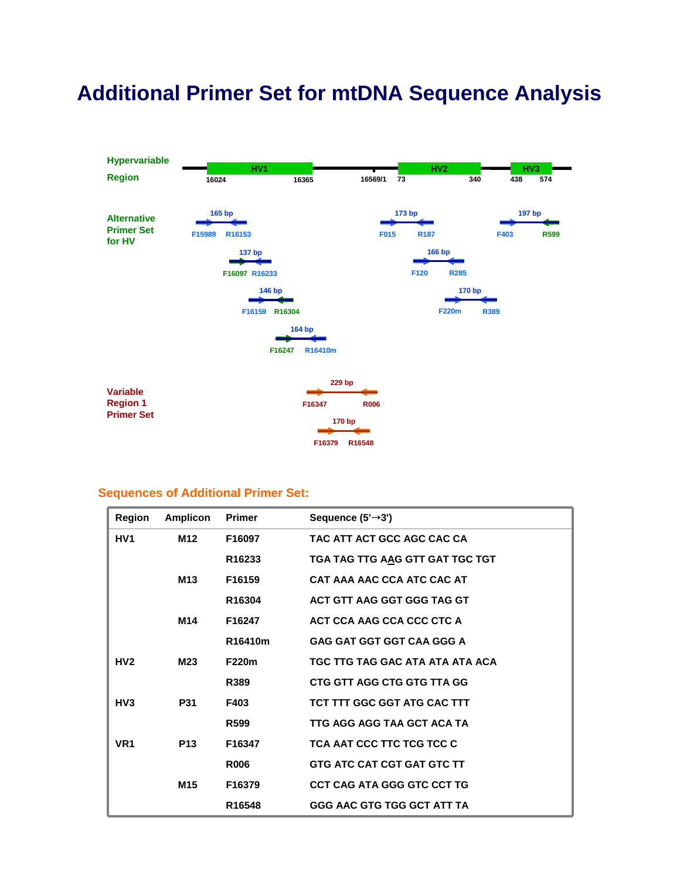# **Additional Primer Set for mtDNA Sequence Analysis**



### **Sequences of Additional Primer Set:**

| Region          | <b>Amplicon</b> | <b>Primer</b>      | Sequence $(5' \rightarrow 3')$   |
|-----------------|-----------------|--------------------|----------------------------------|
| HV1             | M <sub>12</sub> | F16097             | TAC ATT ACT GCC AGC CAC CA       |
|                 |                 | R <sub>16233</sub> | TGA TAG TTG AAG GTT GAT TGC TGT  |
|                 | M <sub>13</sub> | F16159             | CAT AAA AAC CCA ATC CAC AT       |
|                 |                 | R16304             | ACT GTT AAG GGT GGG TAG GT       |
|                 | M14             | F16247             | ACT CCA AAG CCA CCC CTC A        |
|                 |                 | R16410m            | <b>GAG GAT GGT GGT CAA GGG A</b> |
| HV2             | M23             | F220m              | TGC TTG TAG GAC ATA ATA ATA ACA  |
|                 |                 | R389               | CTG GTT AGG CTG GTG TTA GG       |
| HV3             | <b>P31</b>      | F403               | TCT TTT GGC GGT ATG CAC TTT      |
|                 |                 | R <sub>599</sub>   | TTG AGG AGG TAA GCT ACA TA       |
| VR <sub>1</sub> | P <sub>13</sub> | F16347             | TCA AAT CCC TTC TCG TCC C        |
|                 |                 | <b>R006</b>        | GTG ATC CAT CGT GAT GTC TT       |
|                 | M <sub>15</sub> | F16379             | CCT CAG ATA GGG GTC CCT TG       |
|                 |                 | R16548             | GGG AAC GTG TGG GCT ATT TA       |